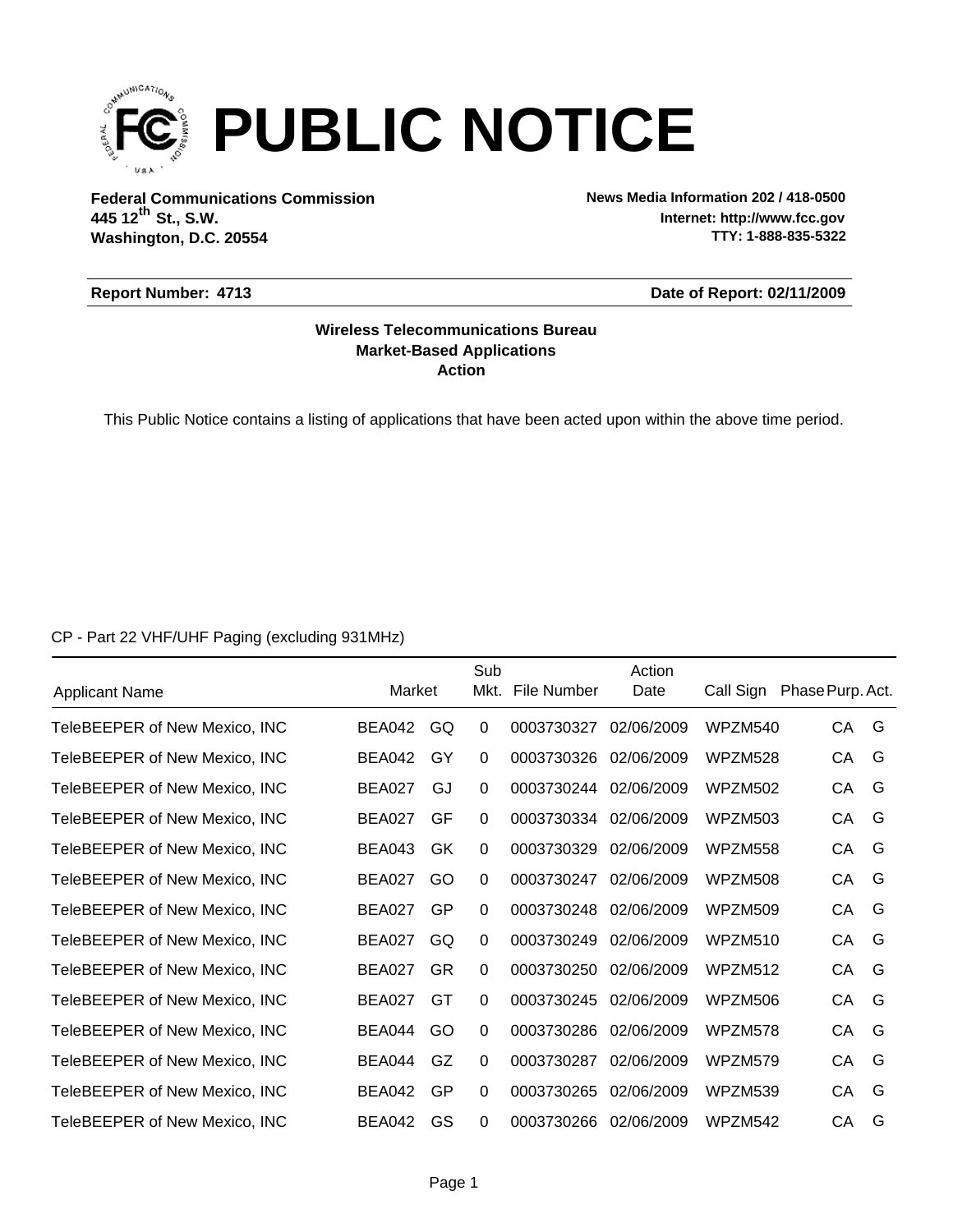

**Federal Communications Commission News Media Information 202 / 418-0500 Washington, D.C. 20554 th 445 12 St., S.W.**

**Internet: http://www.fcc.gov TTY: 1-888-835-5322**

#### **Report Number: 4713**

**Date of Report: 02/11/2009**

### **Action Market-Based Applications Wireless Telecommunications Bureau**

This Public Notice contains a listing of applications that have been acted upon within the above time period.

CP - Part 22 VHF/UHF Paging (excluding 931MHz)

| <b>Applicant Name</b>         | Market        |           | Sub<br>Mkt. | File Number | Action<br>Date | Call Sign | Phase Purp. Act. |   |
|-------------------------------|---------------|-----------|-------------|-------------|----------------|-----------|------------------|---|
|                               |               |           |             |             |                |           |                  |   |
| TeleBEEPER of New Mexico, INC | <b>BEA042</b> | GQ        | 0           | 0003730327  | 02/06/2009     | WPZM540   | СA               | G |
| TeleBEEPER of New Mexico, INC | BEA042        | GY        | $\Omega$    | 0003730326  | 02/06/2009     | WPZM528   | CA               | G |
| TeleBEEPER of New Mexico, INC | BEA027        | GJ        | 0           | 0003730244  | 02/06/2009     | WPZM502   | CA               | G |
| TeleBEEPER of New Mexico, INC | BEA027        | GF        | $\Omega$    | 0003730334  | 02/06/2009     | WPZM503   | CA               | G |
| TeleBEEPER of New Mexico, INC | <b>BEA043</b> | GK        | 0           | 0003730329  | 02/06/2009     | WPZM558   | СA               | G |
| TeleBEEPER of New Mexico, INC | <b>BEA027</b> | GO        | 0           | 0003730247  | 02/06/2009     | WPZM508   | CA               | G |
| TeleBEEPER of New Mexico, INC | BEA027        | GP        | 0           | 0003730248  | 02/06/2009     | WPZM509   | CA               | G |
| TeleBEEPER of New Mexico, INC | BEA027        | GQ.       | 0           | 0003730249  | 02/06/2009     | WPZM510   | СA               | G |
| TeleBEEPER of New Mexico, INC | <b>BEA027</b> | <b>GR</b> | $\Omega$    | 0003730250  | 02/06/2009     | WPZM512   | CA               | G |
| TeleBEEPER of New Mexico, INC | <b>BEA027</b> | GT        | $\Omega$    | 0003730245  | 02/06/2009     | WPZM506   | СA               | G |
| TeleBEEPER of New Mexico, INC | BEA044        | GO        | 0           | 0003730286  | 02/06/2009     | WPZM578   | СA               | G |
| TeleBEEPER of New Mexico, INC | BEA044        | GZ        | $\Omega$    | 0003730287  | 02/06/2009     | WPZM579   | СA               | G |
| TeleBEEPER of New Mexico, INC | <b>BEA042</b> | GP        | $\Omega$    | 0003730265  | 02/06/2009     | WPZM539   | CA               | G |
| TeleBEEPER of New Mexico, INC | <b>BEA042</b> | GS        | $\Omega$    | 0003730266  | 02/06/2009     | WPZM542   | CA               | G |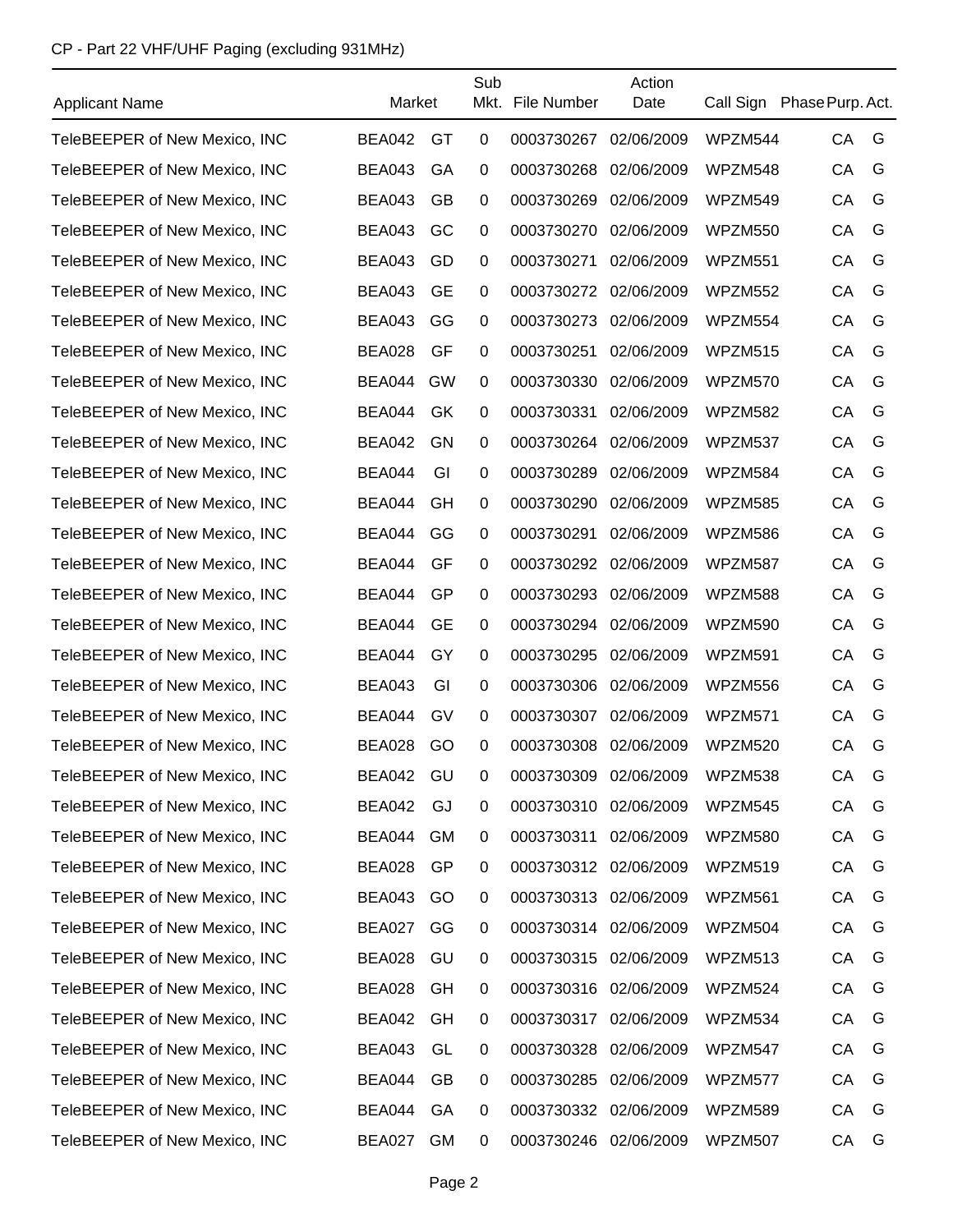# CP - Part 22 VHF/UHF Paging (excluding 931MHz)

| <b>Applicant Name</b>         | Market        |           | Sub            | Mkt. File Number      | Action<br>Date |         | Call Sign Phase Purp. Act. |   |
|-------------------------------|---------------|-----------|----------------|-----------------------|----------------|---------|----------------------------|---|
| TeleBEEPER of New Mexico, INC | <b>BEA042</b> | GT        | $\mathbf 0$    | 0003730267            | 02/06/2009     | WPZM544 | CA                         | G |
| TeleBEEPER of New Mexico, INC | <b>BEA043</b> | GA        | 0              | 0003730268            | 02/06/2009     | WPZM548 | CA                         | G |
| TeleBEEPER of New Mexico, INC | <b>BEA043</b> | <b>GB</b> | 0              | 0003730269            | 02/06/2009     | WPZM549 | CA                         | G |
| TeleBEEPER of New Mexico, INC | <b>BEA043</b> | GC        | 0              | 0003730270            | 02/06/2009     | WPZM550 | CA                         | G |
| TeleBEEPER of New Mexico, INC | <b>BEA043</b> | GD        | 0              | 0003730271            | 02/06/2009     | WPZM551 | CA                         | G |
| TeleBEEPER of New Mexico, INC | <b>BEA043</b> | <b>GE</b> | 0              | 0003730272            | 02/06/2009     | WPZM552 | CA                         | G |
| TeleBEEPER of New Mexico, INC | <b>BEA043</b> | GG        | 0              | 0003730273            | 02/06/2009     | WPZM554 | CA                         | G |
| TeleBEEPER of New Mexico, INC | <b>BEA028</b> | GF        | 0              | 0003730251            | 02/06/2009     | WPZM515 | CA                         | G |
| TeleBEEPER of New Mexico, INC | BEA044        | GW        | 0              | 0003730330            | 02/06/2009     | WPZM570 | CA                         | G |
| TeleBEEPER of New Mexico, INC | BEA044        | GK        | 0              | 0003730331            | 02/06/2009     | WPZM582 | CA                         | G |
| TeleBEEPER of New Mexico, INC | <b>BEA042</b> | GN        | 0              | 0003730264            | 02/06/2009     | WPZM537 | CA                         | G |
| TeleBEEPER of New Mexico, INC | BEA044        | GI        | 0              | 0003730289            | 02/06/2009     | WPZM584 | CA                         | G |
| TeleBEEPER of New Mexico, INC | <b>BEA044</b> | GH        | 0              | 0003730290            | 02/06/2009     | WPZM585 | CA                         | G |
| TeleBEEPER of New Mexico, INC | BEA044        | GG        | 0              | 0003730291            | 02/06/2009     | WPZM586 | CA                         | G |
| TeleBEEPER of New Mexico, INC | BEA044        | GF        | 0              | 0003730292            | 02/06/2009     | WPZM587 | CA                         | G |
| TeleBEEPER of New Mexico, INC | <b>BEA044</b> | GP        | 0              | 0003730293            | 02/06/2009     | WPZM588 | CA                         | G |
| TeleBEEPER of New Mexico, INC | <b>BEA044</b> | <b>GE</b> | 0              | 0003730294            | 02/06/2009     | WPZM590 | CA                         | G |
| TeleBEEPER of New Mexico, INC | BEA044        | GY        | $\mathbf 0$    | 0003730295            | 02/06/2009     | WPZM591 | CA                         | G |
| TeleBEEPER of New Mexico, INC | <b>BEA043</b> | GI        | 0              | 0003730306            | 02/06/2009     | WPZM556 | CA                         | G |
| TeleBEEPER of New Mexico, INC | BEA044        | GV        | 0              | 0003730307            | 02/06/2009     | WPZM571 | CA                         | G |
| TeleBEEPER of New Mexico, INC | <b>BEA028</b> | GO        | 0              | 0003730308 02/06/2009 |                | WPZM520 | CA                         | G |
| TeleBEEPER of New Mexico, INC | <b>BEA042</b> | GU        | 0              | 0003730309            | 02/06/2009     | WPZM538 | СA                         | G |
| TeleBEEPER of New Mexico, INC | <b>BEA042</b> | GJ        | 0              | 0003730310            | 02/06/2009     | WPZM545 | CA                         | G |
| TeleBEEPER of New Mexico, INC | BEA044        | GM        | 0              | 0003730311            | 02/06/2009     | WPZM580 | CA                         | G |
| TeleBEEPER of New Mexico, INC | <b>BEA028</b> | GP        | 0              | 0003730312 02/06/2009 |                | WPZM519 | CA                         | G |
| TeleBEEPER of New Mexico, INC | BEA043        | GO        | 0              | 0003730313 02/06/2009 |                | WPZM561 | CA                         | G |
| TeleBEEPER of New Mexico, INC | BEA027 GG     |           | 0              | 0003730314 02/06/2009 |                | WPZM504 | CA                         | G |
| TeleBEEPER of New Mexico, INC | <b>BEA028</b> | GU        | 0              | 0003730315            | 02/06/2009     | WPZM513 | CA                         | G |
| TeleBEEPER of New Mexico, INC | BEA028        | GH        | 0              | 0003730316 02/06/2009 |                | WPZM524 | CA                         | G |
| TeleBEEPER of New Mexico, INC | BEA042        | GH        | 0              | 0003730317            | 02/06/2009     | WPZM534 | CA                         | G |
| TeleBEEPER of New Mexico, INC | <b>BEA043</b> | GL        | 0              | 0003730328            | 02/06/2009     | WPZM547 | CA                         | G |
| TeleBEEPER of New Mexico, INC | BEA044        | GB        | 0              | 0003730285            | 02/06/2009     | WPZM577 | CA                         | G |
| TeleBEEPER of New Mexico, INC | BEA044        | GA        | $\overline{0}$ | 0003730332 02/06/2009 |                | WPZM589 | CA                         | G |
| TeleBEEPER of New Mexico, INC | BEA027        | <b>GM</b> | 0              | 0003730246            | 02/06/2009     | WPZM507 | CA                         | G |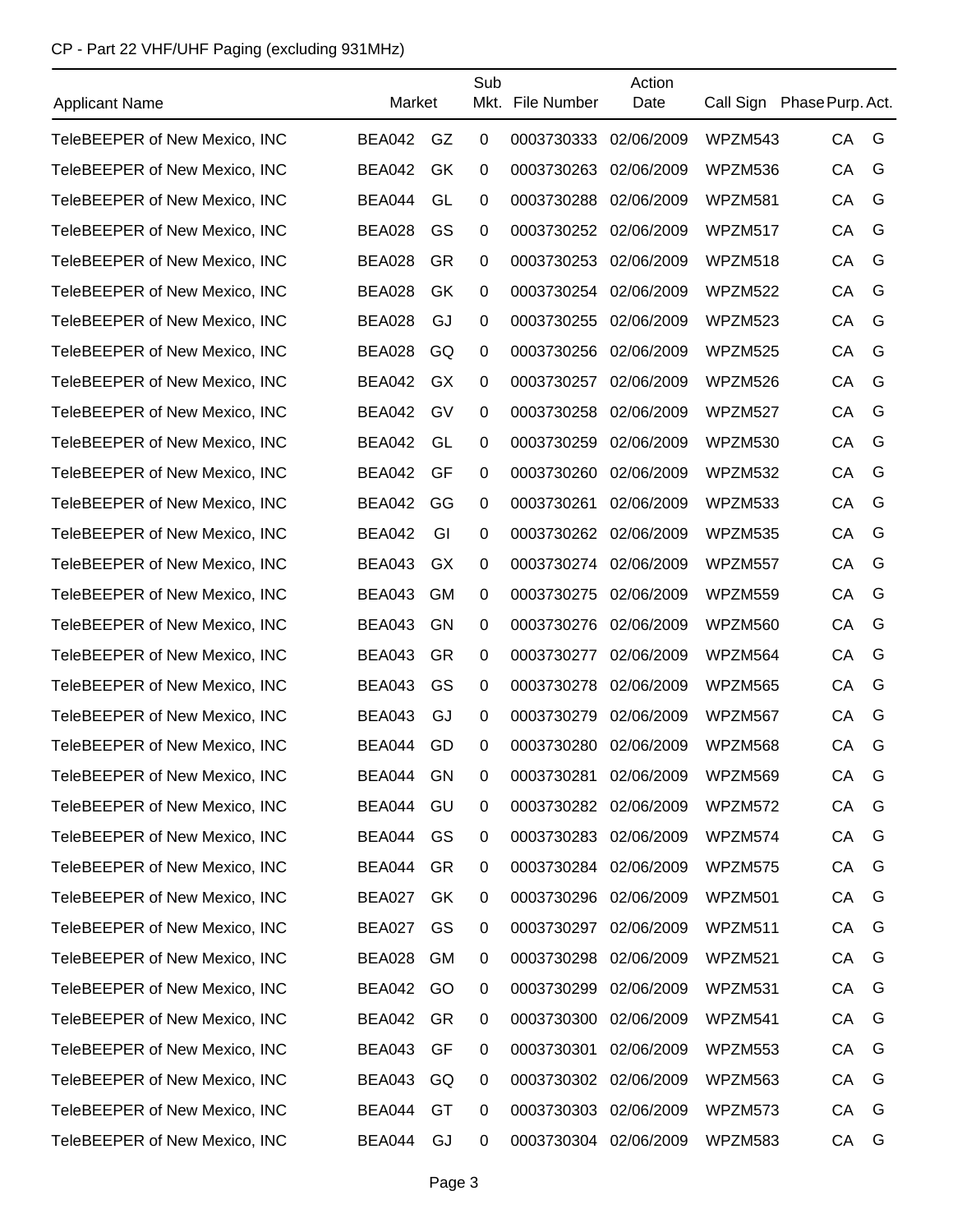# CP - Part 22 VHF/UHF Paging (excluding 931MHz)

| <b>Applicant Name</b>         | Market        |           | Sub       | Mkt. File Number      | Action<br>Date | Call Sign Phase Purp. Act. |    |   |
|-------------------------------|---------------|-----------|-----------|-----------------------|----------------|----------------------------|----|---|
| TeleBEEPER of New Mexico, INC | <b>BEA042</b> | GZ        | 0         | 0003730333            | 02/06/2009     | WPZM543                    | CA | G |
| TeleBEEPER of New Mexico, INC | <b>BEA042</b> | GK        | 0         | 0003730263            | 02/06/2009     | WPZM536                    | CA | G |
| TeleBEEPER of New Mexico, INC | <b>BEA044</b> | GL        | 0         | 0003730288            | 02/06/2009     | WPZM581                    | CA | G |
| TeleBEEPER of New Mexico, INC | <b>BEA028</b> | GS        | 0         | 0003730252            | 02/06/2009     | WPZM517                    | CA | G |
| TeleBEEPER of New Mexico, INC | <b>BEA028</b> | <b>GR</b> | 0         | 0003730253            | 02/06/2009     | WPZM518                    | CA | G |
| TeleBEEPER of New Mexico, INC | <b>BEA028</b> | GK        | 0         | 0003730254            | 02/06/2009     | WPZM522                    | CA | G |
| TeleBEEPER of New Mexico, INC | <b>BEA028</b> | GJ        | 0         | 0003730255            | 02/06/2009     | WPZM523                    | CA | G |
| TeleBEEPER of New Mexico, INC | <b>BEA028</b> | GQ        | 0         | 0003730256            | 02/06/2009     | WPZM525                    | CA | G |
| TeleBEEPER of New Mexico, INC | <b>BEA042</b> | GX        | 0         | 0003730257            | 02/06/2009     | WPZM526                    | CA | G |
| TeleBEEPER of New Mexico, INC | <b>BEA042</b> | GV        | 0         | 0003730258            | 02/06/2009     | WPZM527                    | CA | G |
| TeleBEEPER of New Mexico, INC | <b>BEA042</b> | GL        | 0         | 0003730259            | 02/06/2009     | WPZM530                    | CA | G |
| TeleBEEPER of New Mexico, INC | <b>BEA042</b> | GF        | 0         | 0003730260            | 02/06/2009     | WPZM532                    | CA | G |
| TeleBEEPER of New Mexico, INC | <b>BEA042</b> | GG        | 0         | 0003730261            | 02/06/2009     | WPZM533                    | CA | G |
| TeleBEEPER of New Mexico, INC | <b>BEA042</b> | GI        | 0         | 0003730262            | 02/06/2009     | WPZM535                    | CA | G |
| TeleBEEPER of New Mexico, INC | <b>BEA043</b> | GX        | 0         | 0003730274            | 02/06/2009     | WPZM557                    | CA | G |
| TeleBEEPER of New Mexico, INC | <b>BEA043</b> | <b>GM</b> | 0         | 0003730275            | 02/06/2009     | WPZM559                    | CA | G |
| TeleBEEPER of New Mexico, INC | <b>BEA043</b> | GN        | 0         | 0003730276            | 02/06/2009     | WPZM560                    | CA | G |
| TeleBEEPER of New Mexico, INC | <b>BEA043</b> | GR        | 0         | 0003730277            | 02/06/2009     | WPZM564                    | CA | G |
| TeleBEEPER of New Mexico, INC | <b>BEA043</b> | GS        | 0         | 0003730278            | 02/06/2009     | WPZM565                    | CA | G |
| TeleBEEPER of New Mexico, INC | <b>BEA043</b> | GJ        | 0         | 0003730279            | 02/06/2009     | WPZM567                    | CA | G |
| TeleBEEPER of New Mexico, INC | <b>BEA044</b> | GD        | 0         | 0003730280 02/06/2009 |                | WPZM568                    | CA | G |
| TeleBEEPER of New Mexico, INC | <b>BEA044</b> | GN        | 0         | 0003730281            | 02/06/2009     | WPZM569                    | СA | G |
| TeleBEEPER of New Mexico, INC | BEA044        | GU        | 0         | 0003730282            | 02/06/2009     | WPZM572                    | CA | G |
| TeleBEEPER of New Mexico, INC | BEA044        | GS.       | 0         | 0003730283 02/06/2009 |                | WPZM574                    | CA | G |
| TeleBEEPER of New Mexico, INC | BEA044        | GR        | 0         | 0003730284            | 02/06/2009     | WPZM575                    | CA | G |
| TeleBEEPER of New Mexico, INC | <b>BEA027</b> | <b>GK</b> | 0         | 0003730296            | 02/06/2009     | WPZM501                    | CA | G |
| TeleBEEPER of New Mexico, INC | BEA027        | <b>GS</b> | 0         | 0003730297            | 02/06/2009     | WPZM511                    | CA | G |
| TeleBEEPER of New Mexico, INC | <b>BEA028</b> | <b>GM</b> | 0         | 0003730298            | 02/06/2009     | WPZM521                    | CA | G |
| TeleBEEPER of New Mexico, INC | BEA042 GO     |           | 0         | 0003730299            | 02/06/2009     | WPZM531                    | CA | G |
| TeleBEEPER of New Mexico, INC | BEA042        | GR        | 0         | 0003730300            | 02/06/2009     | WPZM541                    | CA | G |
| TeleBEEPER of New Mexico, INC | <b>BEA043</b> | GF        | 0         | 0003730301            | 02/06/2009     | WPZM553                    | CA | G |
| TeleBEEPER of New Mexico, INC | BEA043        | GQ        | 0         | 0003730302            | 02/06/2009     | WPZM563                    | CA | G |
| TeleBEEPER of New Mexico, INC | BEA044        | GT        | $\pmb{0}$ | 0003730303            | 02/06/2009     | WPZM573                    | CA | G |
| TeleBEEPER of New Mexico, INC | BEA044        | GJ        | 0         | 0003730304 02/06/2009 |                | WPZM583                    | CA | G |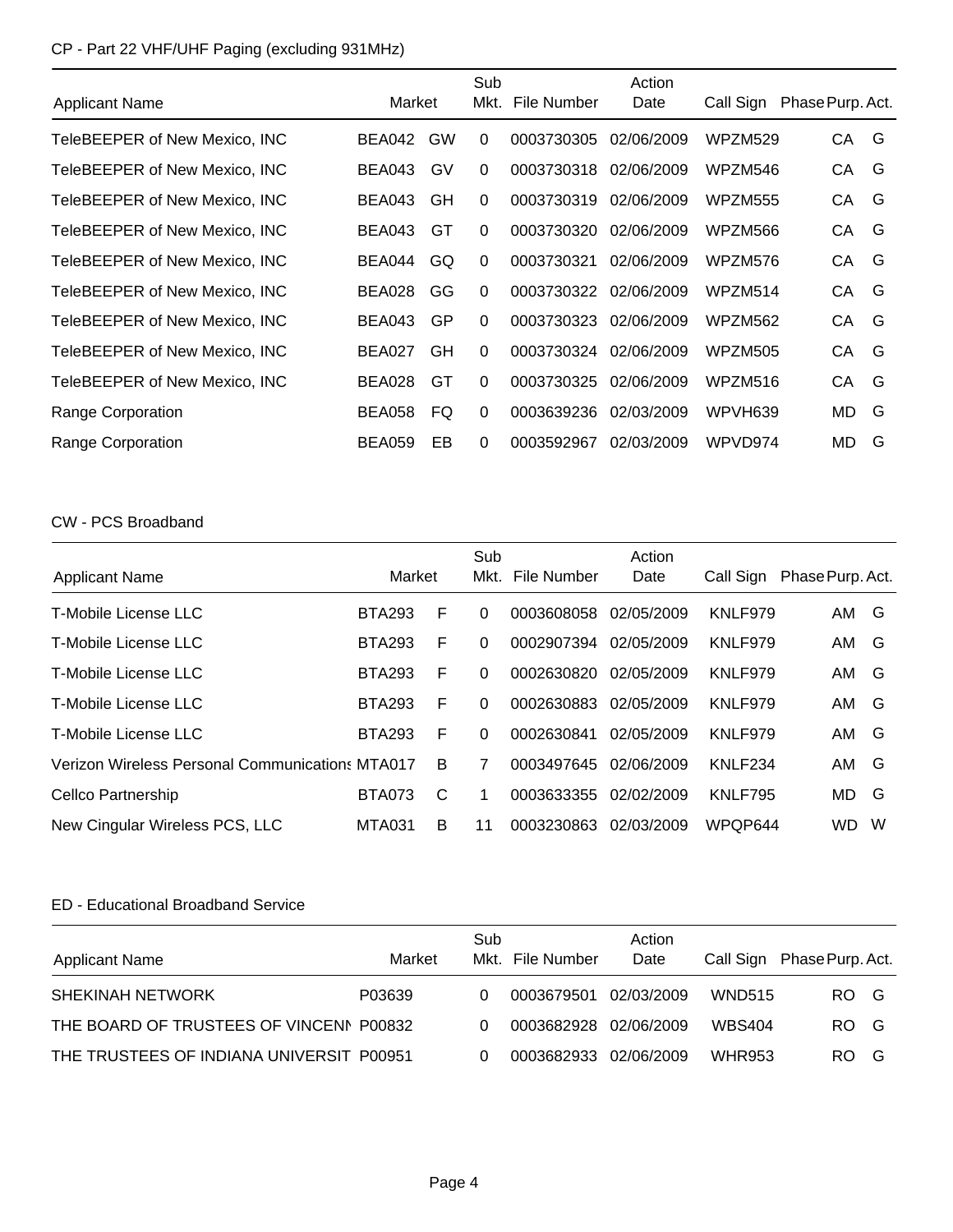# CP - Part 22 VHF/UHF Paging (excluding 931MHz)

|                               |               |           | Sub          |             | Action     |           |                  |
|-------------------------------|---------------|-----------|--------------|-------------|------------|-----------|------------------|
| <b>Applicant Name</b>         | Market        |           | Mkt.         | File Number | Date       | Call Sign | Phase Purp. Act. |
| TeleBEEPER of New Mexico, INC | BEA042        | <b>GW</b> | $\mathbf{0}$ | 0003730305  | 02/06/2009 | WPZM529   | CA.<br>G         |
| TeleBEEPER of New Mexico, INC | BEA043        | GV        | $\mathbf{0}$ | 0003730318  | 02/06/2009 | WPZM546   | G<br>CA          |
| TeleBEEPER of New Mexico, INC | BEA043        | GH        | $\Omega$     | 0003730319  | 02/06/2009 | WPZM555   | G<br>СA          |
| TeleBEEPER of New Mexico, INC | <b>BEA043</b> | GT        | $\Omega$     | 0003730320  | 02/06/2009 | WPZM566   | G<br>СA          |
| TeleBEEPER of New Mexico, INC | BEA044        | GQ        | $\mathbf{0}$ | 0003730321  | 02/06/2009 | WPZM576   | G<br>СA          |
| TeleBEEPER of New Mexico, INC | <b>BEA028</b> | GG        | $\mathbf{0}$ | 0003730322  | 02/06/2009 | WPZM514   | G<br>СA          |
| TeleBEEPER of New Mexico, INC | <b>BEA043</b> | GP        | $\Omega$     | 0003730323  | 02/06/2009 | WPZM562   | G<br>СA          |
| TeleBEEPER of New Mexico, INC | BEA027        | GH        | $\Omega$     | 0003730324  | 02/06/2009 | WPZM505   | G<br>СA          |
| TeleBEEPER of New Mexico, INC | <b>BEA028</b> | GT        | $\Omega$     | 0003730325  | 02/06/2009 | WPZM516   | G<br>CA          |
| Range Corporation             | <b>BEA058</b> | FQ        | $\Omega$     | 0003639236  | 02/03/2009 | WPVH639   | G<br>MD.         |
| Range Corporation             | <b>BEA059</b> | EB        | $\Omega$     | 0003592967  | 02/03/2009 | WPVD974   | G<br>MD          |

### CW - PCS Broadband

| <b>Applicant Name</b>                                  | Market        |   | Sub<br>Mkt. | File Number | Action<br>Date | Call Sign      | Phase Purp. Act. |   |
|--------------------------------------------------------|---------------|---|-------------|-------------|----------------|----------------|------------------|---|
| T-Mobile License LLC                                   | <b>BTA293</b> | F | 0           | 0003608058  | 02/05/2009     | KNLF979        | AM G             |   |
| T-Mobile License LLC                                   | <b>BTA293</b> | F | 0           | 0002907394  | 02/05/2009     | KNLF979        | AM               | G |
| T-Mobile License LLC                                   | <b>BTA293</b> | F | 0           | 0002630820  | 02/05/2009     | KNLF979        | AM               | G |
| T-Mobile License LLC                                   | <b>BTA293</b> | F | 0           | 0002630883  | 02/05/2009     | KNLF979        | AM               | G |
| T-Mobile License LLC                                   | <b>BTA293</b> | F | 0           | 0002630841  | 02/05/2009     | KNLF979        | AM               | G |
| <b>Verizon Wireless Personal Communications MTA017</b> |               | B | 7           | 0003497645  | 02/06/2009     | KNLF234        | AM               | G |
| Cellco Partnership                                     | <b>BTA073</b> | C | 1           | 0003633355  | 02/02/2009     | <b>KNLF795</b> | MD               | G |
| New Cingular Wireless PCS, LLC                         | <b>MTA031</b> | B | 11          | 0003230863  | 02/03/2009     | WPQP644        | WD.              | W |

## ED - Educational Broadband Service

| <b>Applicant Name</b>                    | Market | Sub | Mkt. File Number      | Action<br>Date |               | Call Sign Phase Purp. Act. |
|------------------------------------------|--------|-----|-----------------------|----------------|---------------|----------------------------|
| SHEKINAH NETWORK                         | P03639 | 0   | 0003679501            | 02/03/2009     | <b>WND515</b> | RO G                       |
| THE BOARD OF TRUSTEES OF VINCENN P00832  |        | 0   | 0003682928 02/06/2009 |                | <b>WBS404</b> | RO G                       |
| THE TRUSTEES OF INDIANA UNIVERSIT P00951 |        | 0   | 0003682933 02/06/2009 |                | <b>WHR953</b> | RO.<br>G                   |